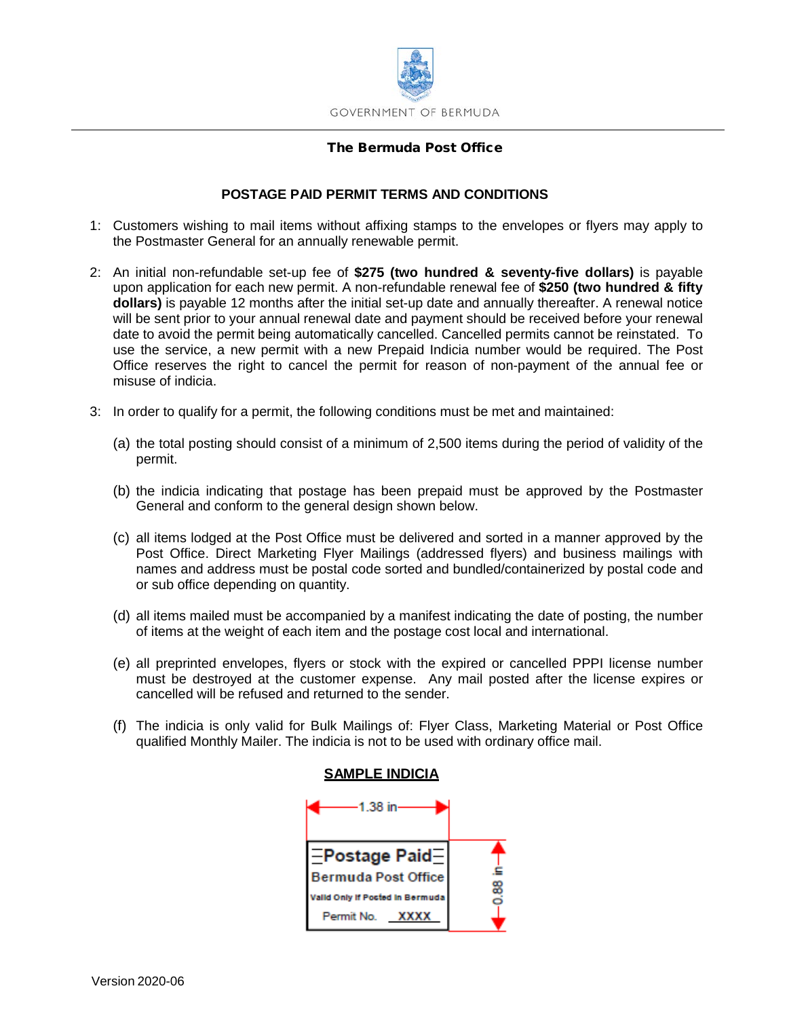

## The Bermuda Post Office

# **POSTAGE PAID PERMIT TERMS AND CONDITIONS**

- 1: Customers wishing to mail items without affixing stamps to the envelopes or flyers may apply to the Postmaster General for an annually renewable permit.
- 2: An initial non-refundable set-up fee of **\$275 (two hundred & seventy-five dollars)** is payable upon application for each new permit. A non-refundable renewal fee of **\$250 (two hundred & fifty dollars)** is payable 12 months after the initial set-up date and annually thereafter. A renewal notice will be sent prior to your annual renewal date and payment should be received before your renewal date to avoid the permit being automatically cancelled. Cancelled permits cannot be reinstated. To use the service, a new permit with a new Prepaid Indicia number would be required. The Post Office reserves the right to cancel the permit for reason of non-payment of the annual fee or misuse of indicia.
- 3: In order to qualify for a permit, the following conditions must be met and maintained:
	- (a) the total posting should consist of a minimum of 2,500 items during the period of validity of the permit.
	- (b) the indicia indicating that postage has been prepaid must be approved by the Postmaster General and conform to the general design shown below.
	- (c) all items lodged at the Post Office must be delivered and sorted in a manner approved by the Post Office. Direct Marketing Flyer Mailings (addressed flyers) and business mailings with names and address must be postal code sorted and bundled/containerized by postal code and or sub office depending on quantity.
	- (d) all items mailed must be accompanied by a manifest indicating the date of posting, the number of items at the weight of each item and the postage cost local and international.
	- (e) all preprinted envelopes, flyers or stock with the expired or cancelled PPPI license number must be destroyed at the customer expense. Any mail posted after the license expires or cancelled will be refused and returned to the sender.
	- (f) The indicia is only valid for Bulk Mailings of: Flyer Class, Marketing Material or Post Office qualified Monthly Mailer. The indicia is not to be used with ordinary office mail.



#### **SAMPLE INDICIA**